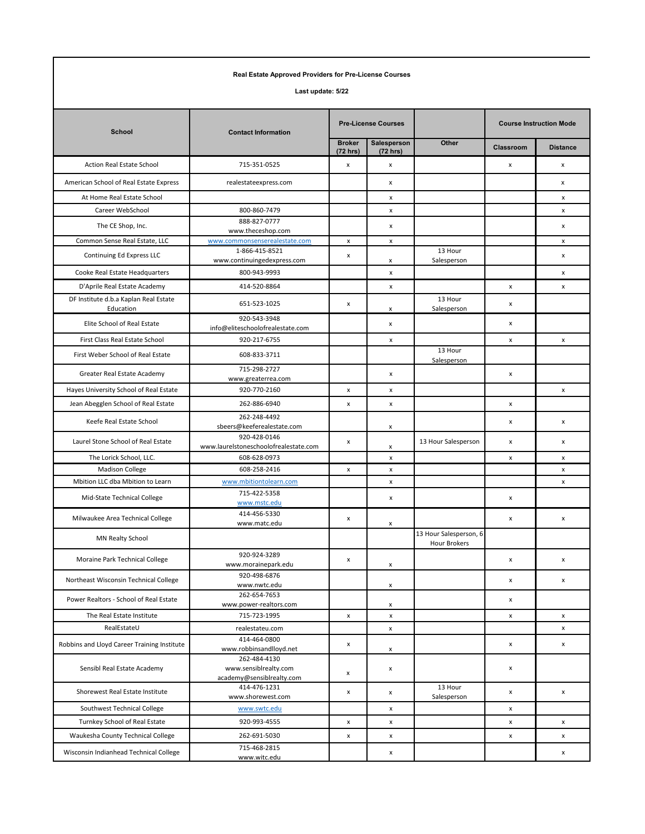| Real Estate Approved Providers for Pre-License Courses<br>Last update: 5/22 |                                                                    |                           |                    |                                        |   |                    |  |  |  |  |
|-----------------------------------------------------------------------------|--------------------------------------------------------------------|---------------------------|--------------------|----------------------------------------|---|--------------------|--|--|--|--|
|                                                                             |                                                                    |                           |                    |                                        |   |                    |  |  |  |  |
| <b>Broker</b><br>(72 hrs)                                                   | Salesperson<br>(72 hrs)                                            | Other                     | Classroom          | <b>Distance</b>                        |   |                    |  |  |  |  |
| Action Real Estate School                                                   | 715-351-0525                                                       | x                         | x                  |                                        | x | x                  |  |  |  |  |
| American School of Real Estate Express                                      | realestateexpress.com                                              |                           | x                  |                                        |   | x                  |  |  |  |  |
| At Home Real Estate School                                                  |                                                                    |                           | x                  |                                        |   | x                  |  |  |  |  |
| Career WebSchool                                                            | 800-860-7479                                                       |                           | x                  |                                        |   | x                  |  |  |  |  |
| The CE Shop, Inc.                                                           | 888-827-0777                                                       |                           | x                  |                                        |   | x                  |  |  |  |  |
| Common Sense Real Estate, LLC                                               | www.theceshop.com<br>www.commonsenserealestate.com                 | $\boldsymbol{\mathsf{x}}$ | x                  |                                        |   | x                  |  |  |  |  |
| Continuing Ed Express LLC                                                   | 1-866-415-8521<br>www.continuingedexpress.com                      | x                         | x                  | 13 Hour<br>Salesperson                 |   | x                  |  |  |  |  |
| Cooke Real Estate Headquarters                                              | 800-943-9993                                                       |                           | x                  |                                        |   | x                  |  |  |  |  |
| D'Aprile Real Estate Academy                                                | 414-520-8864                                                       |                           | x                  |                                        | x | $\pmb{\mathsf{x}}$ |  |  |  |  |
| DF Institute d.b.a Kaplan Real Estate<br>Education                          | 651-523-1025                                                       | x                         | x                  | 13 Hour<br>Salesperson                 | x |                    |  |  |  |  |
| Elite School of Real Estate                                                 | 920-543-3948<br>info@eliteschoolofrealestate.com                   |                           | $\pmb{\mathsf{x}}$ |                                        | x |                    |  |  |  |  |
| First Class Real Estate School                                              | 920-217-6755                                                       |                           | x                  |                                        | x | x                  |  |  |  |  |
| First Weber School of Real Estate                                           | 608-833-3711                                                       |                           |                    | 13 Hour<br>Salesperson                 |   |                    |  |  |  |  |
| Greater Real Estate Academy                                                 | 715-298-2727<br>www.greaterrea.com                                 |                           | x                  |                                        | x |                    |  |  |  |  |
| Hayes University School of Real Estate                                      | 920-770-2160                                                       | x                         | x                  |                                        |   | x                  |  |  |  |  |
| Jean Abegglen School of Real Estate                                         | 262-886-6940                                                       | x                         | $\pmb{\mathsf{x}}$ |                                        | x |                    |  |  |  |  |
| Keefe Real Estate School                                                    | 262-248-4492<br>sbeers@keeferealestate.com                         |                           | x                  |                                        | x | x                  |  |  |  |  |
| Laurel Stone School of Real Estate                                          | 920-428-0146<br>www.laurelstoneschoolofrealestate.com              | x                         | x                  | 13 Hour Salesperson                    | x | x                  |  |  |  |  |
| The Lorick School, LLC.                                                     | 608-628-0973                                                       |                           | $\pmb{\mathsf{x}}$ |                                        | x | x                  |  |  |  |  |
| <b>Madison College</b>                                                      | 608-258-2416                                                       | x                         | x                  |                                        |   | x                  |  |  |  |  |
| Mbition LLC dba Mbition to Learn                                            | www.mbitiontolearn.com                                             |                           | x                  |                                        |   | x                  |  |  |  |  |
| Mid-State Technical College                                                 | 715-422-5358<br>www.mstc.edu                                       |                           | x                  |                                        | x |                    |  |  |  |  |
| Milwaukee Area Technical College                                            | 414-456-5330<br>www.matc.edu                                       | x                         | x                  |                                        | x | x                  |  |  |  |  |
| MN Realty School                                                            |                                                                    |                           |                    | 13 Hour Salesperson, 6<br>Hour Brokers |   |                    |  |  |  |  |
| Moraine Park Technical College                                              | 920-924-3289<br>www.morainepark.edu                                | x                         | x                  |                                        | x | x                  |  |  |  |  |
| Northeast Wisconsin Technical College                                       | 920-498-6876<br>www.nwtc.edu                                       |                           | X                  |                                        | x | x                  |  |  |  |  |
| Power Realtors - School of Real Estate                                      | 262-654-7653<br>www.power-realtors.com                             |                           | $\pmb{\mathsf{x}}$ |                                        | x |                    |  |  |  |  |
| The Real Estate Institute                                                   | 715-723-1995                                                       | $\pmb{\mathsf{x}}$        | $\pmb{\mathsf{x}}$ |                                        | x | $\pmb{\mathsf{x}}$ |  |  |  |  |
| RealEstateU                                                                 | realestateu.com                                                    |                           | $\pmb{\mathsf{x}}$ |                                        |   | $\pmb{\mathsf{x}}$ |  |  |  |  |
| Robbins and Lloyd Career Training Institute                                 | 414-464-0800<br>www.robbinsandlloyd.net                            | x                         | x                  |                                        | x | x                  |  |  |  |  |
| Sensibl Real Estate Academy                                                 | 262-484-4130<br>www.sensiblrealty.com<br>academy@sensiblrealty.com | x                         | $\pmb{\mathsf{x}}$ |                                        | x |                    |  |  |  |  |
| Shorewest Real Estate Institute                                             | 414-476-1231<br>www.shorewest.com                                  | x                         | x                  | 13 Hour<br>Salesperson                 | x | x                  |  |  |  |  |
| Southwest Technical College                                                 | www.swtc.edu                                                       |                           | x                  |                                        | x |                    |  |  |  |  |
| Turnkey School of Real Estate                                               | 920-993-4555                                                       | $\pmb{\mathsf{x}}$        | x                  |                                        | x | x                  |  |  |  |  |
| Waukesha County Technical College                                           | 262-691-5030                                                       | x                         | $\pmb{\times}$     |                                        | x | x                  |  |  |  |  |
| Wisconsin Indianhead Technical College                                      | 715-468-2815<br>www.witc.edu                                       |                           | x                  |                                        |   | $\pmb{\mathsf{x}}$ |  |  |  |  |